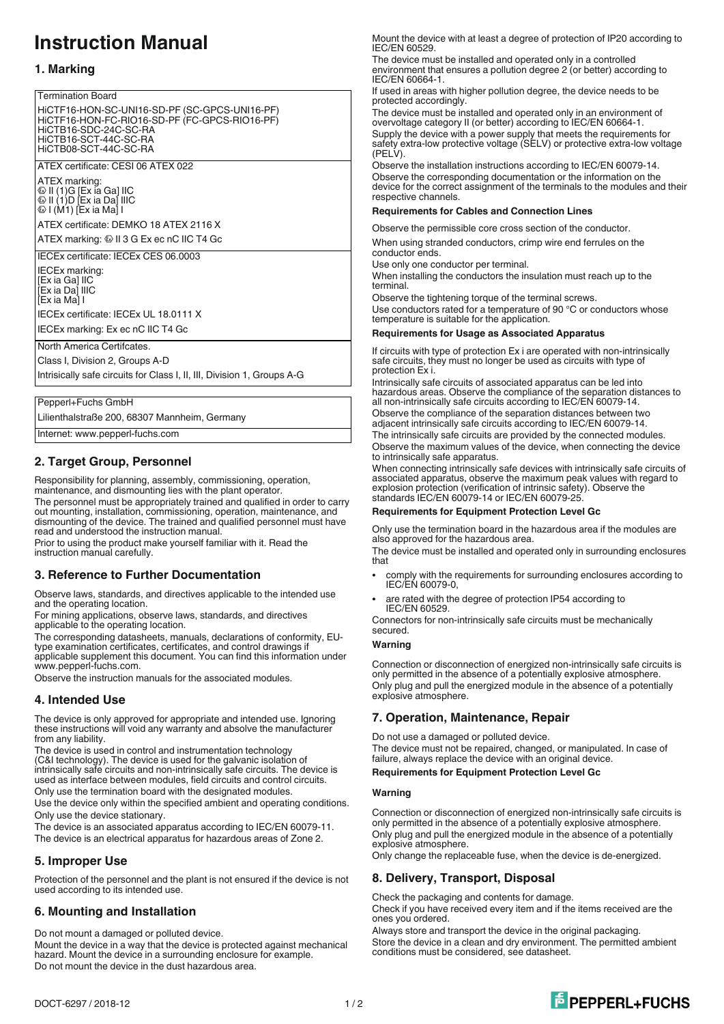# **Instruction Manual**

# **1. Marking**

#### Termination Board

HiCTF16-HON-SC-UNI16-SD-PF (SC-GPCS-UNI16-PF) HiCTF16-HON-FC-RIO16-SD-PF (FC-GPCS-RIO16-PF) HiCTB16-SDC-24C-SC-RA HiCTB16-SCT-44C-SC-RA HiCTB08-SCT-44C-SC-RA

ATEX certificate: CESI 06 ATEX 022

ATEX marking: 1 II (1)G [Ex ia Ga] IIC 1 II (1)D [Ex ia Da] IIIC  $\otimes$  I (M1) [Ex ia Ma] I

ATEX certificate: DEMKO 18 ATEX 2116 X ATEX marking: @ II 3 G Ex ec nC IIC T4 Gc

IECEx certificate: IECEx CES 06.0003

IECEx marking: [Ex ia Ga] IIC [Ex ia Da] IIIC [Ex ia Ma] I IECEx certificate: IECEx UL 18.0111 X

IECEx marking: Ex ec nC IIC T4 Gc

North America Certifcates.

Class I, Division 2, Groups A-D

Intrisically safe circuits for Class I, II, III, Division 1, Groups A-G

#### Pepperl+Fuchs GmbH

Lilienthalstraße 200, 68307 Mannheim, Germany

Internet: www.pepperl-fuchs.com

## **2. Target Group, Personnel**

Responsibility for planning, assembly, commissioning, operation, maintenance, and dismounting lies with the plant operator.

The personnel must be appropriately trained and qualified in order to carry out mounting, installation, commissioning, operation, maintenance, and dismounting of the device. The trained and qualified personnel must have read and understood the instruction manual.

Prior to using the product make yourself familiar with it. Read the instruction manual carefully.

## **3. Reference to Further Documentation**

Observe laws, standards, and directives applicable to the intended use and the operating location.

For mining applications, observe laws, standards, and directives applicable to the operating location.

The corresponding datasheets, manuals, declarations of conformity, EUtype examination certificates, certificates, and control drawings if applicable supplement this document. You can find this information under

www.pepperl-fuchs.com. Observe the instruction manuals for the associated modules.

# **4. Intended Use**

The device is only approved for appropriate and intended use. Ignoring these instructions will void any warranty and absolve the manufacturer from any liability.

The device is used in control and instrumentation technology (C&I technology). The device is used for the galvanic isolation of intrinsically safe circuits and non-intrinsically safe circuits. The device is used as interface between modules, field circuits and control circuits. Only use the termination board with the designated modules.

Use the device only within the specified ambient and operating conditions. Only use the device stationary.

The device is an associated apparatus according to IEC/EN 60079-11. The device is an electrical apparatus for hazardous areas of Zone 2.

## **5. Improper Use**

Protection of the personnel and the plant is not ensured if the device is not used according to its intended use.

# **6. Mounting and Installation**

Do not mount a damaged or polluted device.

Mount the device in a way that the device is protected against mechanical hazard. Mount the device in a surrounding enclosure for example. Do not mount the device in the dust hazardous area.

Mount the device with at least a degree of protection of IP20 according to IEC/EN 60529.

The device must be installed and operated only in a controlled environment that ensures a pollution degree 2 (or better) according to IEC/EN 60664-1.

If used in areas with higher pollution degree, the device needs to be protected accordingly.

The device must be installed and operated only in an environment of overvoltage category II (or better) according to IEC/EN 60664-1. Supply the device with a power supply that meets the requirements for safety extra-low protective voltage (SELV) or protective extra-low voltage (PELV).

Observe the installation instructions according to IEC/EN 60079-14. Observe the corresponding documentation or the information on the device for the correct assignment of the terminals to the modules and their respective channels.

#### **Requirements for Cables and Connection Lines**

Observe the permissible core cross section of the conductor.

When using stranded conductors, crimp wire end ferrules on the conductor ends.

Use only one conductor per terminal.

When installing the conductors the insulation must reach up to the terminal.

Observe the tightening torque of the terminal screws. Use conductors rated for a temperature of 90 °C or conductors whose

temperature is suitable for the application.

### **Requirements for Usage as Associated Apparatus**

If circuits with type of protection Ex i are operated with non-intrinsically safe circuits, they must no longer be used as circuits with type of protection Ex i.

Intrinsically safe circuits of associated apparatus can be led into hazardous areas. Observe the compliance of the separation distances to all non-intrinsically safe circuits according to IEC/EN 60079-14.

Observe the compliance of the separation distances between two adjacent intrinsically safe circuits according to IEC/EN 60079-14. The intrinsically safe circuits are provided by the connected modules.

Observe the maximum values of the device, when connecting the device to intrinsically safe apparatus.

When connecting intrinsically safe devices with intrinsically safe circuits of associated apparatus, observe the maximum peak values with regard to explosion protection (verification of intrinsic safety). Observe the standards IEC/EN 60079-14 or IEC/EN 60079-25.

#### **Requirements for Equipment Protection Level Gc**

Only use the termination board in the hazardous area if the modules are also approved for the hazardous area.

The device must be installed and operated only in surrounding enclosures that

- <sup>l</sup> comply with the requirements for surrounding enclosures according to IEC/EN 60079-0,
- are rated with the degree of protection IP54 according to IEC/EN 60529.

Connectors for non-intrinsically safe circuits must be mechanically secured.

#### **Warning**

Connection or disconnection of energized non-intrinsically safe circuits is only permitted in the absence of a potentially explosive atmosphere. Only plug and pull the energized module in the absence of a potentially explosive atmosphere.

# **7. Operation, Maintenance, Repair**

Do not use a damaged or polluted device. The device must not be repaired, changed, or manipulated. In case of failure, always replace the device with an original device.

#### **Requirements for Equipment Protection Level Gc**

#### **Warning**

Connection or disconnection of energized non-intrinsically safe circuits is only permitted in the absence of a potentially explosive atmosphere. Only plug and pull the energized module in the absence of a potentially explosive atmosphere.

Only change the replaceable fuse, when the device is de-energized.

# **8. Delivery, Transport, Disposal**

Check the packaging and contents for damage.

Check if you have received every item and if the items received are the ones you ordered.

Always store and transport the device in the original packaging. Store the device in a clean and dry environment. The permitted ambient conditions must be considered, see datasheet.